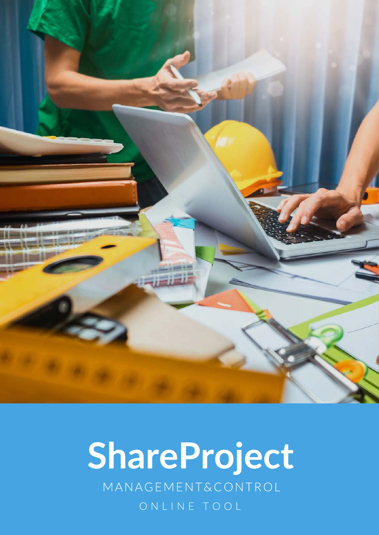

# ShareProject

MANAGEMENT&CONTROL

ONLINE TOOL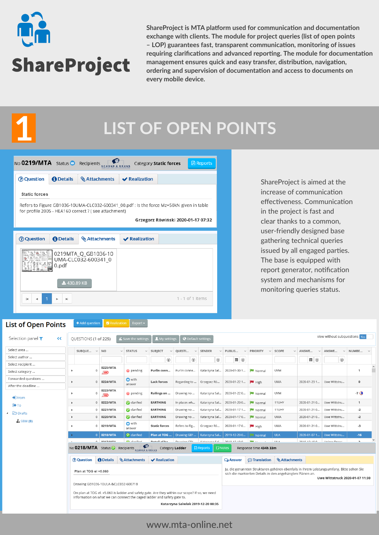

**1**

**ShareProject is MTA platform used for communication and documentation exchange with clients. The module for project queries (list of open points – LOP) guarantees fast, transparent communicaton, monitoring of issues** requiring clarifications and advanced reporting. The module for documentation **management ensures quick and easy transfer, distributon, navigaton, ordering and supervision of documentaton and access to documents on every mobile device.**

### **LIST OF OPEN POINTS**

| No <b>0219/MTA</b> Status                                                                                                                                                              |                  | Recipients                                 |                      | Category Static forces | <b>A</b> Reports |  |  |  |  |  |  |  |
|----------------------------------------------------------------------------------------------------------------------------------------------------------------------------------------|------------------|--------------------------------------------|----------------------|------------------------|------------------|--|--|--|--|--|--|--|
| ? Question                                                                                                                                                                             | <b>O</b> Details | <b>Attachments</b>                         | $\vee$ Realization   |                        |                  |  |  |  |  |  |  |  |
| <b>Static forces</b>                                                                                                                                                                   |                  |                                            |                      |                        |                  |  |  |  |  |  |  |  |
| Refers to Figure GB1036-10UMA-CLC032-600341_00.pdf : Is the force Mz=50kN given in table<br>for profile 2005 - HEA160 correct ? (see attachment)<br>Grzegorz Rówiński 2020-01-17 07:32 |                  |                                            |                      |                        |                  |  |  |  |  |  |  |  |
| ? Question                                                                                                                                                                             | <b>O</b> Details | <b>Attachments</b>                         | <b>◆ Realization</b> |                        |                  |  |  |  |  |  |  |  |
|                                                                                                                                                                                        | 0.pdf            | 0219MTA Q GB1036-10<br>UMA-CLC032-600341 0 |                      |                        |                  |  |  |  |  |  |  |  |
|                                                                                                                                                                                        |                  | ₹430.89 KB                                 |                      |                        |                  |  |  |  |  |  |  |  |
|                                                                                                                                                                                        |                  |                                            |                      |                        |                  |  |  |  |  |  |  |  |

effectiveness. Communication ShareProject is aimed at the increase of communication in the project is fast and clear thanks to a common, user-friendly designed base gathering technical queries issued by all engaged parties. The base is equipped with report generator, notification system and mechanisms for monitoring queries status.

#### $\left\lceil \frac{1}{2} \cdot \frac{1}{2} \cdot \frac{1}{2} \cdot \frac{1}{2} \cdot \frac{1}{2} \cdot \frac{1}{2} \cdot \frac{1}{2} \cdot \frac{1}{2} \cdot \frac{1}{2} \cdot \frac{1}{2} \cdot \frac{1}{2} \cdot \frac{1}{2} \cdot \frac{1}{2} \cdot \frac{1}{2} \cdot \frac{1}{2} \cdot \frac{1}{2} \cdot \frac{1}{2} \cdot \frac{1}{2} \cdot \frac{1}{2} \cdot \frac{1}{2} \cdot \frac{1}{2} \cdot \frac{1}{2} \cdot \frac{1}{2} \cdot \frac{1}{2} \$ **List of Open Points**

| Selection panel $\blacktriangledown$<br>くく | OUESTIONS (1 of 225)                                         |         |                                | $\leq$ Save the settings                                                                                                                                                  | My settings             | <b>O</b> Default settings          |                                     |                        |                                                                                                                                                       |                       |                       | view without subquestions Yes   |                          |              |
|--------------------------------------------|--------------------------------------------------------------|---------|--------------------------------|---------------------------------------------------------------------------------------------------------------------------------------------------------------------------|-------------------------|------------------------------------|-------------------------------------|------------------------|-------------------------------------------------------------------------------------------------------------------------------------------------------|-----------------------|-----------------------|---------------------------------|--------------------------|--------------|
| Select area                                | SUBQUE v NO                                                  |         |                                | $~\vee~$ STATUS<br>$\checkmark$                                                                                                                                           | SUBJECT<br>$\checkmark$ | QUESTI<br>$\checkmark$             | <b>SENDER</b><br>$\checkmark$       | PUBLIS<br>$\checkmark$ | <b>PRIORITY</b><br>$\checkmark$                                                                                                                       | SCOPE<br>$\checkmark$ | ANSWE<br>$\checkmark$ | ANSWE<br>$\checkmark$           | NUMBE v                  |              |
| Select author                              |                                                              |         |                                |                                                                                                                                                                           | $\odot$                 | $\odot$                            | $\odot$                             | $\Box$                 |                                                                                                                                                       |                       | $\Box$                | $\odot$                         |                          |              |
| Select recipient                           |                                                              |         | 0225/MTA                       |                                                                                                                                                                           |                         |                                    |                                     |                        |                                                                                                                                                       |                       |                       |                                 |                          |              |
| Select category                            |                                                              | $\circ$ | new                            | pending                                                                                                                                                                   | Purlin conn             | Purlin conne                       | Katarzyna Sal                       | 2020-01-30 1           | Normal                                                                                                                                                | <b>UVM</b>            |                       |                                 | $\mathbf{1}$             |              |
| Forwarded questions<br>After the deadline  |                                                              | $\circ$ | 0224/MTA                       | <b>O</b> with<br>answer                                                                                                                                                   | <b>Lack forces</b>      | Regarding to                       | Grzegorz Ró                         | 2020-01-22 1           | $H$ High                                                                                                                                              | <b>UMA</b>            | 2020-01-23 1          | Uwe Wittstru                    | $\mathbf 0$              |              |
| $\bigoplus$ From                           |                                                              | $\circ$ | 0223/MTA<br>new                | pending                                                                                                                                                                   | Railings on             | Drawing no                         | Katarzyna Sal                       | 2020-01-22 0           | Normal                                                                                                                                                | <b>UVM</b>            |                       |                                 | $-7o$                    |              |
| <b>D</b> +To                               | ٠                                                            |         | 0 0222/MTA                     | clarified                                                                                                                                                                 | <b>EARTHING</b>         | In places wh                       | Katarzyna Sal                       | 2020-01-20 0           | Normal                                                                                                                                                | 11UHY                 | 2020-01-21 0          | Uwe Wittstru                    | $\mathbf{1}$             |              |
| ▲ → Drafts                                 | ٠                                                            | $\circ$ | 0221/MTA                       | clarified                                                                                                                                                                 | <b>EARTHING</b>         | Drawing no                         | Katarzyna Sal                       | 2020-01-17 1           | Normal                                                                                                                                                | 11UHY                 | 2020-01-21 0          | Uwe Wittstru                    | $-2$                     |              |
|                                            |                                                              | $\circ$ | 0220/MTA                       | clarified                                                                                                                                                                 | <b>EARTHING</b>         | Drawing no                         | Katarzyna Sal                       | 2020-01-170            | Normal                                                                                                                                                | <b>UMA</b>            | 2020-01-21 0          | Uwe Wittstru                    | $-2$                     |              |
| $\mathbf{L}$ SBM (0)                       |                                                              | $\circ$ | 0219/MTA                       | o with<br>answer                                                                                                                                                          | <b>Static forces</b>    | Refers to Fig                      | Grzegorz Ró                         | 2020-01-17 0           | <b>High</b>                                                                                                                                           | <b>UMA</b>            | 2020-01-21 0          | Uwe Wittstru                    | $-3$                     |              |
|                                            |                                                              |         | $0$ 0218/MTA                   | $\bullet$ clarified                                                                                                                                                       | Plan at TOG             | Drawing GB1                        | Katarzyna Sal                       | 2019-12-20 0           | Normal                                                                                                                                                | <b>ULA</b>            | 2020-01-07 1          | Uwe Wittstru                    | $-16$                    |              |
|                                            |                                                              |         | 0.0247BATA                     | <b>A</b> clasified                                                                                                                                                        | Dotail of his           | Deputing CD1                       | Vataramas Cal                       | 2010/12/10 0           |                                                                                                                                                       | 111 A                 | 3010 13 10 A          | <b>Linigas Drago</b>            | $\overline{\phantom{a}}$ |              |
|                                            |                                                              |         |                                | No <b>0218/MTA</b> Status Recipients <b>SERVING</b>                                                                                                                       | Category Ladder         |                                    | $\square$ Notes<br><b>A</b> Reports |                        | Response time 434h 33m                                                                                                                                |                       |                       |                                 |                          |              |
|                                            | ? Question                                                   |         | <b><i><u>A</u></i></b> Details | <b>Attachments</b>                                                                                                                                                        | <b>√</b> Realization    |                                    |                                     | <b>Q</b> Answer        | <b>I</b> ranslation                                                                                                                                   | <b>Attachments</b>    |                       |                                 |                          |              |
|                                            | Plan at TOG el +5.060<br>Drawing GB1036-10ULA-&CLC032-600718 |         |                                | On plan at TOG el. +5.060 is ladder and safety gate. Are they within our scope? If so, we need<br>information on what we can connect the caged ladder and safety gate to. |                         |                                    |                                     |                        | Ja, die genannten Strukturen gehören ebenfalls in Ihrem Leistungsumfang. Bitte sehen Sie<br>sich die markierten Details in den angehängten Plänen an. |                       |                       | Uwe Wittstruck 2020-01-07 11:30 |                          | $\checkmark$ |
|                                            |                                                              |         |                                |                                                                                                                                                                           |                         | Katarzyna Salwiak 2019-12-20 08:35 |                                     |                        |                                                                                                                                                       |                       |                       |                                 |                          |              |

### www.mta-online.net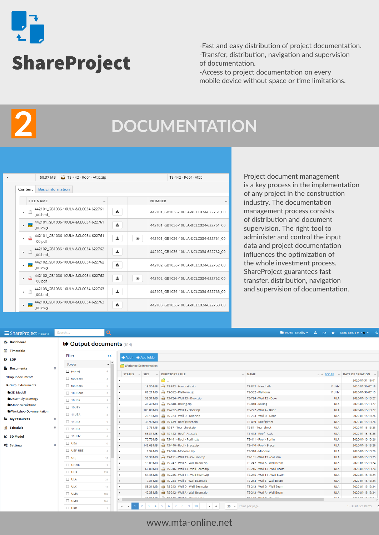

-Fast and easy distribution of project documentation. -Transfer, distribution, navigation and supervision of documentation.

-Access to project documentation on every mobile device without space or time limitations.

**2**

### **DOCUMENTATION**

|                                       | 58.37 MB                 | <b>ETR</b> TS-442 - Roof - Attic.zip |   |   | TS-442 - Roof - Attic |                                       |
|---------------------------------------|--------------------------|--------------------------------------|---|---|-----------------------|---------------------------------------|
| Content                               | <b>Basic information</b> |                                      |   |   |                       |                                       |
|                                       | <b>FILE NAME</b>         | $\checkmark$                         |   |   | <b>NUMBER</b>         |                                       |
| $\mathbb{R}$<br>٠                     | 00.bmf                   | 442101 GB1036-10ULA-&CLC034-622761   | 圡 |   |                       | 442101_GB1036-10ULA-&CLC034-622761_00 |
| $\triangleright$ <b>DWG</b>           | 00.dwg                   | 442101_GB1036-10ULA-&CLC034-622761   | 土 |   |                       | 442101 GB1036-10ULA-&CLC034-622761 00 |
| $\blacktriangleright$ $\frac{1}{200}$ | 00.pdf                   | 442101 GB1036-10ULA-&CLC034-622761   | 土 | ◉ |                       | 442101 GB1036-10ULA-&CLC034-622761 00 |
| $\mathbf{F}$                          | 00.bmf                   | 442102_GB1036-10ULA-&CLC034-622762   | 盂 |   |                       | 442102 GB1036-10ULA-&CLC034-622762 00 |
| <b>DWG</b><br>Þ.                      | 00.dwg                   | 442102 GB1036-10ULA-&CLC034-622762   | 圡 |   |                       | 442102 GB1036-10ULA-&CLC034-622762 00 |
| $\frac{1}{2}$                         | 00.pdf                   | 442102_GB1036-10ULA-&CLC034-622762   | 盂 | ◉ |                       | 442102 GB1036-10ULA-&CLC034-622762 00 |
| $\mathbb{R}$<br>Þ.                    | 00.bmf                   | 442103_GB1036-10ULA-&CLC034-622763   | 土 |   |                       | 442103 GB1036-10ULA-&CLC034-622763 00 |
| $\blacktriangleright$ DWG             | 00.dwg                   | 442103_GB1036-10ULA-&CLC034-622763   | 土 |   |                       | 442103 GB1036-10ULA-&CLC034-622763 00 |

Project document management is a key process in the implementation of any project in the construction industry. The documentation management process consists of distribution and document supervision. The right tool to administer and control the input data and project documentation influences the optimization of the whole investment process. ShareProject guarantees fast transfer, distribution, navigation and supervision of documentation.

**19060** - Keadby  $\star$  **A**  $\boxdot$  **Q C** Maria Jaroś | MTA  $\bullet$   $\star$ 

#### ShareProject v1.0.60.10 Search

**48** Dashboard

#### **ED** Output documents (614)

| <b>ff</b> Timetable           |           |                |                          |                                                           |           |                                                     |                              |       |                                                    |
|-------------------------------|-----------|----------------|--------------------------|-----------------------------------------------------------|-----------|-----------------------------------------------------|------------------------------|-------|----------------------------------------------------|
| <b>Q</b> LOP                  |           | Filter         | くく                       | $\triangleq$ Add $\triangleright$ $\triangleq$ Add folder |           |                                                     |                              |       |                                                    |
| <b>Documents</b>              | $\bullet$ | Scopes         | $\sim$<br>$\blacksquare$ | Workshop-Dokumentation                                    |           |                                                     |                              |       |                                                    |
|                               |           | $\Box$ (none)  | 6                        | $STATUS \sim SIZE$                                        |           | $\vee$ DIRECTORY / FILE                             | $\vee$ NAME                  |       | $\vee$ $\vee$ SCOPE $\vee$ DATE OF CREATION $\vee$ |
| D Input documents             |           | $\Box$ 00UBY01 | $\mathbf{A}$             |                                                           |           | ã.,                                                 |                              |       | 2020-01-31 16:01                                   |
| Output documents              |           | $\Box$ 00UBY02 | $5 -$                    |                                                           | 18.30 MB  | TS-842 - Handrails.zip                              | TS-842 - Handrails           | 11UHY | 2020-01-30 07:15                                   |
| 3D-Modell                     |           | □ 10UBA81      | $5 -$                    | ٠                                                         | 88.21 MB  | TS-552 - Platform.zip                               | TS-552 - Platform            | 11UHY | 2020-01-30 07:15                                   |
| Assembly drawings             |           | $\Box$ 10UBX   | $\Omega$                 |                                                           | 52.31 MB  | <b>Biz TS-724 - Wall 13 - Door.zip</b>              | TS-724 - Wall 13 - Door      |       | 2020-01-15 13:27<br><b>ULA</b>                     |
| Static calculations           |           |                |                          | ٠                                                         | 40.49 MB  | TS-840 - Railing.zip                                | TS-840 - Railing             |       | 2020-01-15 13:27<br><b>ULA</b>                     |
| Workshop-Dokumentation        |           | $\Box$ 10UBY   | $\mathbf{A}$             | ٠                                                         | 103.80 MB | FED TS-722 - Wall A - Door.zip                      | TS-722 - Wall A - Door       |       | 2020-01-15 13:27<br><b>ULA</b>                     |
|                               |           | $\Box$ 11UBA   |                          |                                                           | 29.13 MB  | TS-723 - Wall D - Door.zip                          | TS-723 - Wall D - Door       |       | 2020-01-15 13:26<br><b>ULA</b>                     |
| My resources                  | $\bullet$ | $\Box$ 11UBX   | $\mathbf Q$              | $\overline{\phantom{a}}$                                  | 39.90 MB  | <b>REZ</b> TS-439 - Roof girder.zip                 | TS-439 - Roof girder         |       | 2020-01-15 13:26<br><b>ULA</b>                     |
| Schedule                      | $\bullet$ | $\Box$ 11UBY   | 5.                       | ٠                                                         | 9.73 MB   | TS-57 - Tear_sheet.zip                              | TS-57 - Tear_sheet           |       | 2020-01-15 13:26<br><b>ULA</b>                     |
| <b>2</b> 3D Model             |           | $\Box$ 11 UHY  |                          | ٠                                                         | 58.37 MB  | TS-442 - Roof - Attic.zip                           | TS-442 - Roof - Attic        |       | 2020-01-15 13:26<br><b>ULA</b>                     |
|                               |           |                |                          | ٠                                                         | 70.76 MB  | TS-441 - Roof - Purlin.zip                          | TS-441 - Roof - Purlin       |       | 2020-01-15 13:26<br><b>ULA</b>                     |
| <b>Q<sub>6</sub></b> Settings | $\bullet$ | $\Box$ UBA     | 10                       |                                                           | 149.65 MB | era TS-440 - Roof - Brace.zip                       | TS-440 - Roof - Brace        |       | 2020-01-15 13:26<br><b>ULA</b>                     |
|                               |           | $\Box$ UBF UBE | 3                        | ٠                                                         | 9.94 MB   | <b>FEB</b> TS-310 - Monorail.zip                    | TS-310 - Monorail            |       | 2020-01-15 13:26<br><b>ULA</b>                     |
|                               |           | $\Box$ UGI     | 14                       | $\overline{ }$                                            | 56.38 MB  | FED TS-151 - Wall 13 - Column.zip                   | TS-151 - Wall 13 - Column    |       | 2020-01-15 13:25<br><b>ULA</b>                     |
|                               |           | $\Box$ UGY02   |                          |                                                           | 13.89 MB  | TS-247 - Wall A - Wall Beam.zip                     | TS-247 - Wall A - Wall Beam  |       | 2020-01-15 13:24<br><b>ULA</b>                     |
|                               |           | $\Box$ UHA     |                          |                                                           | 60.80 MB  | Riza TS-246 - Wall 13 - Wall Beam.zip               | TS-246 - Wall 13 - Wall Beam |       | 2020-01-15 13:24<br><b>ULA</b>                     |
|                               |           |                | 138                      |                                                           | 61.48 MB  | TS-245 - Wall 11 - Wall Beam.zip                    | TS-245 - Wall 11 - Wall Beam |       | 2020-01-15 13:24<br><b>ULA</b>                     |
|                               |           | $\Box$ ULA     | 21                       | ٠                                                         | 7.31 MB   | Fig. TS-244 - Wall E - Wall Beam.zip                | TS-244 - Wall E - Wall Beam  |       | 2020-01-15 13:24<br><b>ULA</b>                     |
|                               |           | $\square$ ULX  | 11                       |                                                           | 58.31 MB  | TS-243 - Wall D - Wall Beam.zip                     | TS-243 - Wall D - Wall Beam  |       | <b>ULA</b><br>2020-01-15 13:24                     |
|                               |           | $\Box$ UMA     | 182                      |                                                           | 42.38 MB  | <b>RTA</b> TS-242 - Wall A - Wall Beam.zip          | TS-242 - Wall A - Wall Beam  |       | <b>ULA</b><br>2020-01-15 13:24                     |
|                               |           | $\Box$ UMB     | 166                      | $\langle$                                                 | 33.00.149 | The me also consider the financial and              | TO A 40 INSURA CONTINUE      |       | <b>COLA</b>                                        |
|                               |           | $\Box$ unn     |                          | $\mathbb{H}$ .<br>$\rightarrow$                           |           | $2$ 3 4 5 6 7 8 9 10 $$ $\rightarrow$ $\rightarrow$ | 30 $\bullet$ items per page  |       | 1 - 30 of 321 items                                |

### www.mta-online.net